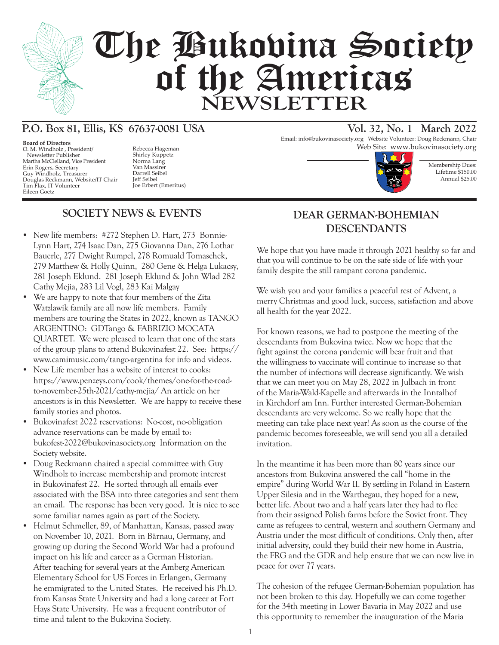

# The Bukovina Society of the Americas **NEWSLETTER**

# **P.O. Box 81, Ellis, KS 67637-0081 USA Vol. 32, No. 1 March 2022**

**Board of Directors** O. M. Windholz , President/ Newsletter Publisher Martha McClelland, Vice President Erin Rogers, Secretary Guy Windholz, Treasurer Douglas Reckmann, Website/IT Chair Tim Flax, IT Volunteer Eileen Goetz

Shirley Kuppetz Norma Lang Van Massirer Darrell Seibel Jeff Seibel Joe Erbert (Emeritus)

# **SOCIETY NEWS & EVENTS**

- New life members: #272 Stephen D. Hart, 273 Bonnie-Lynn Hart, 274 Isaac Dan, 275 Giovanna Dan, 276 Lothar Bauerle, 277 Dwight Rumpel, 278 Romuald Tomaschek, 279 Matthew & Holly Quinn, 280 Gene & Helga Lukacsy, 281 Joseph Eklund. 281 Joseph Eklund & John Wlad 282 Cathy Mejia, 283 Lil Vogl, 283 Kai Malgay
- We are happy to note that four members of the Zita Watzlawik family are all now life members. Family members are touring the States in 2022, known as TANGO ARGENTINO: GDTango & FABRIZIO MOCATA QUARTET. We were pleased to learn that one of the stars of the group plans to attend Bukovinafest 22. See: https:// www.camimusic.com/tango-argentina for info and videos.
- New Life member has a website of interest to cooks: https://www.penzeys.com/cook/themes/one-for-the-roadto-november-25th-2021/cathy-mejia/ An article on her ancestors is in this Newsletter. We are happy to receive these family stories and photos.
- Bukovinafest 2022 reservations: No-cost, no-obligation advance reservations can be made by email to: bukofest-2022@bukovinasociety.org Information on the Society website.
- Doug Reckmann chaired a special committee with Guy Windholz to increase membership and promote interest in Bukovinafest 22. He sorted through all emails ever associated with the BSA into three categories and sent them an email. The response has been very good. It is nice to see some familiar names again as part of the Society.
- Helmut Schmeller, 89, of Manhattan, Kansas, passed away on November 10, 2021. Born in Bärnau, Germany, and growing up during the Second World War had a profound impact on his life and career as a German Historian. After teaching for several years at the Amberg American Elementary School for US Forces in Erlangen, Germany he emmigrated to the United States. He received his Ph.D. from Kansas State University and had a long career at Fort Hays State University. He was a frequent contributor of time and talent to the Bukovina Society.

Email: info@bukovinasociety.org Website Volunteer: Doug Reckmann, Chair Rebecca Hageman **Web Site:** www.bukovinasociety.org





## **DEAR GERMAN-BOHEMIAN DESCENDANTS**

We hope that you have made it through 2021 healthy so far and that you will continue to be on the safe side of life with your family despite the still rampant corona pandemic.

We wish you and your families a peaceful rest of Advent, a merry Christmas and good luck, success, satisfaction and above all health for the year 2022.

For known reasons, we had to postpone the meeting of the descendants from Bukovina twice. Now we hope that the fight against the corona pandemic will bear fruit and that the willingness to vaccinate will continue to increase so that the number of infections will decrease significantly. We wish that we can meet you on May 28, 2022 in Julbach in front of the Maria-Wald-Kapelle and afterwards in the Inntalhof in Kirchdorf am Inn. Further interested German-Bohemian descendants are very welcome. So we really hope that the meeting can take place next year! As soon as the course of the pandemic becomes foreseeable, we will send you all a detailed invitation.

In the meantime it has been more than 80 years since our ancestors from Bukovina answered the call "home in the empire" during World War II. By settling in Poland in Eastern Upper Silesia and in the Warthegau, they hoped for a new, better life. About two and a half years later they had to flee from their assigned Polish farms before the Soviet front. They came as refugees to central, western and southern Germany and Austria under the most difficult of conditions. Only then, after initial adversity, could they build their new home in Austria, the FRG and the GDR and help ensure that we can now live in peace for over 77 years.

The cohesion of the refugee German-Bohemian population has not been broken to this day. Hopefully we can come together for the 34th meeting in Lower Bavaria in May 2022 and use this opportunity to remember the inauguration of the Maria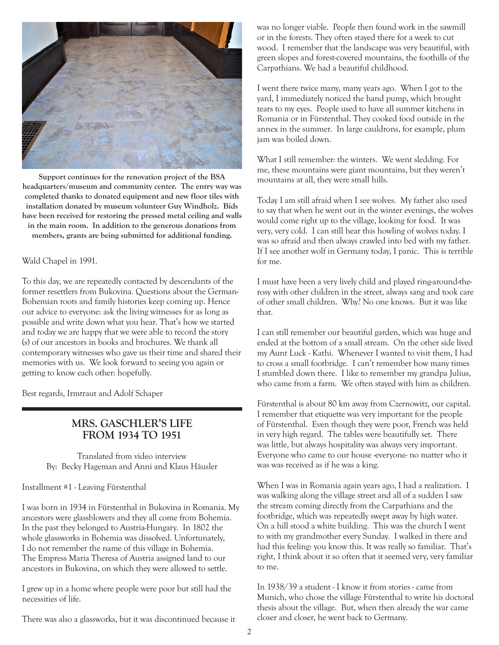

**Support continues for the renovation project of the BSA headquarters/museum and community center. The entry way was completed thanks to donated equipment and new floor tiles with installation donated by museum volunteer Guy Windholz. Bids have been received for restoring the pressed metal ceiling and walls in the main room. In addition to the generous donations from members, grants are being submitted for additional funding.**

#### Wald Chapel in 1991.

To this day, we are repeatedly contacted by descendants of the former resettlers from Bukovina. Questions about the German-Bohemian roots and family histories keep coming up. Hence our advice to everyone: ask the living witnesses for as long as possible and write down what you hear. That's how we started and today we are happy that we were able to record the story (s) of our ancestors in books and brochures. We thank all contemporary witnesses who gave us their time and shared their memories with us. We look forward to seeing you again or getting to know each other: hopefully.

Best regards, Irmtraut and Adolf Schaper

#### **MRS. GASCHLER'S LIFE FROM 1934 TO 1951**

Translated from video interview By: Becky Hageman and Anni and Klaus Häusler

Installment #1 - Leaving Fürstenthal

I was born in 1934 in Fürstenthal in Bukovina in Romania. My ancestors were glassblowers and they all come from Bohemia. In the past they belonged to Austria-Hungary. In 1802 the whole glassworks in Bohemia was dissolved. Unfortunately, I do not remember the name of this village in Bohemia. The Empress Maria Theresa of Austria assigned land to our ancestors in Bukovina, on which they were allowed to settle.

I grew up in a home where people were poor but still had the necessities of life.

There was also a glassworks, but it was discontinued because it

was no longer viable. People then found work in the sawmill or in the forests. They often stayed there for a week to cut wood. I remember that the landscape was very beautiful, with green slopes and forest-covered mountains, the foothills of the Carpathians. We had a beautiful childhood.

I went there twice many, many years ago. When I got to the yard, I immediately noticed the hand pump, which brought tears to my eyes. People used to have all summer kitchens in Romania or in Fürstenthal. They cooked food outside in the annex in the summer. In large cauldrons, for example, plum jam was boiled down.

What I still remember: the winters. We went sledding. For me, these mountains were giant mountains, but they weren't mountains at all, they were small hills.

Today I am still afraid when I see wolves. My father also used to say that when he went out in the winter evenings, the wolves would come right up to the village, looking for food. It was very, very cold. I can still hear this howling of wolves today. I was so afraid and then always crawled into bed with my father. If I see another wolf in Germany today, I panic. This is terrible for me.

I must have been a very lively child and played ring-around-therosy with other children in the street, always sang and took care of other small children. Why? No one knows. But it was like that.

I can still remember our beautiful garden, which was huge and ended at the bottom of a small stream. On the other side lived my Aunt Luck - Kathi. Whenever I wanted to visit them, I had to cross a small footbridge. I can't remember how many times I stumbled down there. I like to remember my grandpa Julius, who came from a farm. We often stayed with him as children.

Fürstenthal is about 80 km away from Czernowitz, our capital. I remember that etiquette was very important for the people of Fürstenthal. Even though they were poor, French was held in very high regard. The tables were beautifully set. There was little, but always hospitality was always very important. Everyone who came to our house -everyone- no matter who it was was received as if he was a king.

When I was in Romania again years ago, I had a realization. I was walking along the village street and all of a sudden I saw the stream coming directly from the Carpathians and the footbridge, which was repeatedly swept away by high water. On a hill stood a white building. This was the church I went to with my grandmother every Sunday. I walked in there and had this feeling: you know this. It was really so familiar. That's right, I think about it so often that it seemed very, very familiar to me.

In 1938/39 a student - I know it from stories - came from Munich, who chose the village Fürstenthal to write his doctoral thesis about the village. But, when then already the war came closer and closer, he went back to Germany.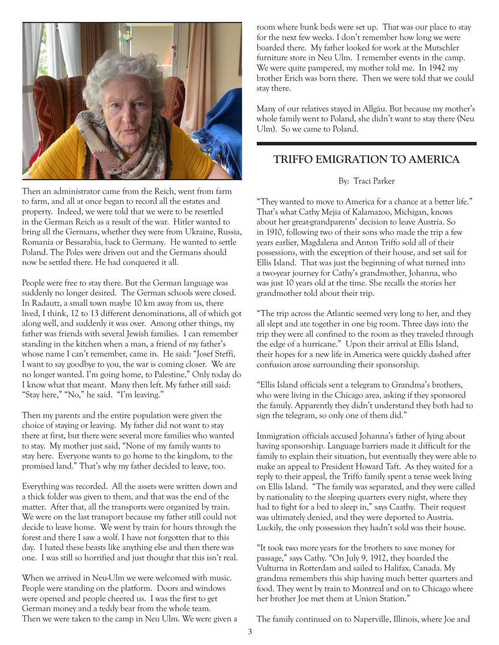

Then an administrator came from the Reich, went from farm to farm, and all at once began to record all the estates and property. Indeed, we were told that we were to be resettled in the German Reich as a result of the war. Hitler wanted to bring all the Germans, whether they were from Ukraine, Russia, Romania or Bessarabia, back to Germany. He wanted to settle Poland. The Poles were driven out and the Germans should now be settled there. He had conquered it all.

People were free to stay there. But the German language was suddenly no longer desired. The German schools were closed. In Radautz, a small town maybe 10 km away from us, there lived, I think, 12 to 13 different denominations, all of which got along well, and suddenly it was over. Among other things, my father was friends with several Jewish families. I can remember standing in the kitchen when a man, a friend of my father's whose name I can't remember, came in. He said: "Josef Steffi, I want to say goodbye to you, the war is coming closer. We are no longer wanted. I'm going home, to Palestine," Only today do I know what that meant. Many then left. My father still said: "Stay here," "No," he said. "I'm leaving."

Then my parents and the entire population were given the choice of staying or leaving. My father did not want to stay there at first, but there were several more families who wanted to stay. My mother just said, "None of my family wants to stay here. Everyone wants to go home to the kingdom, to the promised land." That's why my father decided to leave, too.

Everything was recorded. All the assets were written down and a thick folder was given to them, and that was the end of the matter. After that, all the transports were organized by train. We were on the last transport because my father still could not decide to leave home. We went by train for hours through the forest and there I saw a wolf. I have not forgotten that to this day. I hated these beasts like anything else and then there was one. I was still so horrified and just thought that this isn't real.

When we arrived in Neu-Ulm we were welcomed with music. People were standing on the platform. Doors and windows were opened and people cheered us. I was the first to get German money and a teddy bear from the whole team. Then we were taken to the camp in Neu Ulm. We were given a room where bunk beds were set up. That was our place to stay for the next few weeks. I don't remember how long we were boarded there. My father looked for work at the Mutschler furniture store in Neu Ulm. I remember events in the camp. We were quite pampered, my mother told me. In 1942 my brother Erich was born there. Then we were told that we could stay there.

Many of our relatives stayed in Allgäu. But because my mother's whole family went to Poland, she didn't want to stay there (Neu Ulm). So we came to Poland.

### **TRIFFO EMIGRATION TO AMERICA**

#### By: Traci Parker

"They wanted to move to America for a chance at a better life." That's what Cathy Mejia of Kalamazoo, Michigan, knows about her great-grandparents' decision to leave Austria. So in 1910, following two of their sons who made the trip a few years earlier, Magdalena and Anton Triffo sold all of their possessions, with the exception of their house, and set sail for Ellis Island. That was just the beginning of what turned into a two-year journey for Cathy's grandmother, Johanna, who was just 10 years old at the time. She recalls the stories her grandmother told about their trip.

"The trip across the Atlantic seemed very long to her, and they all slept and ate together in one big room. Three days into the trip they were all confined to the room as they traveled through the edge of a hurricane." Upon their arrival at Ellis Island, their hopes for a new life in America were quickly dashed after confusion arose surrounding their sponsorship.

"Ellis Island officials sent a telegram to Grandma's brothers, who were living in the Chicago area, asking if they sponsored the family. Apparently they didn't understand they both had to sign the telegram, so only one of them did."

Immigration officials accused Johanna's father of lying about having sponsorship. Language barriers made it difficult for the family to explain their situation, but eventually they were able to make an appeal to President Howard Taft. As they waited for a reply to their appeal, the Triffo family spent a tense week living on Ellis Island. "The family was separated, and they were called by nationality to the sleeping quarters every night, where they had to fight for a bed to sleep in," says Caathy. Their request was ultimately denied, and they were deported to Austria. Luckily, the only possession they hadn't sold was their house.

"It took two more years for the brothers to save money for passage," says Cathy. "On July 9, 1912, they boarded the Vulturna in Rotterdam and sailed to Halifax, Canada. My grandma remembers this ship having much better quarters and food. They went by train to Montreal and on to Chicago where her brother Joe met them at Union Station."

The family continued on to Naperville, Illinois, where Joe and